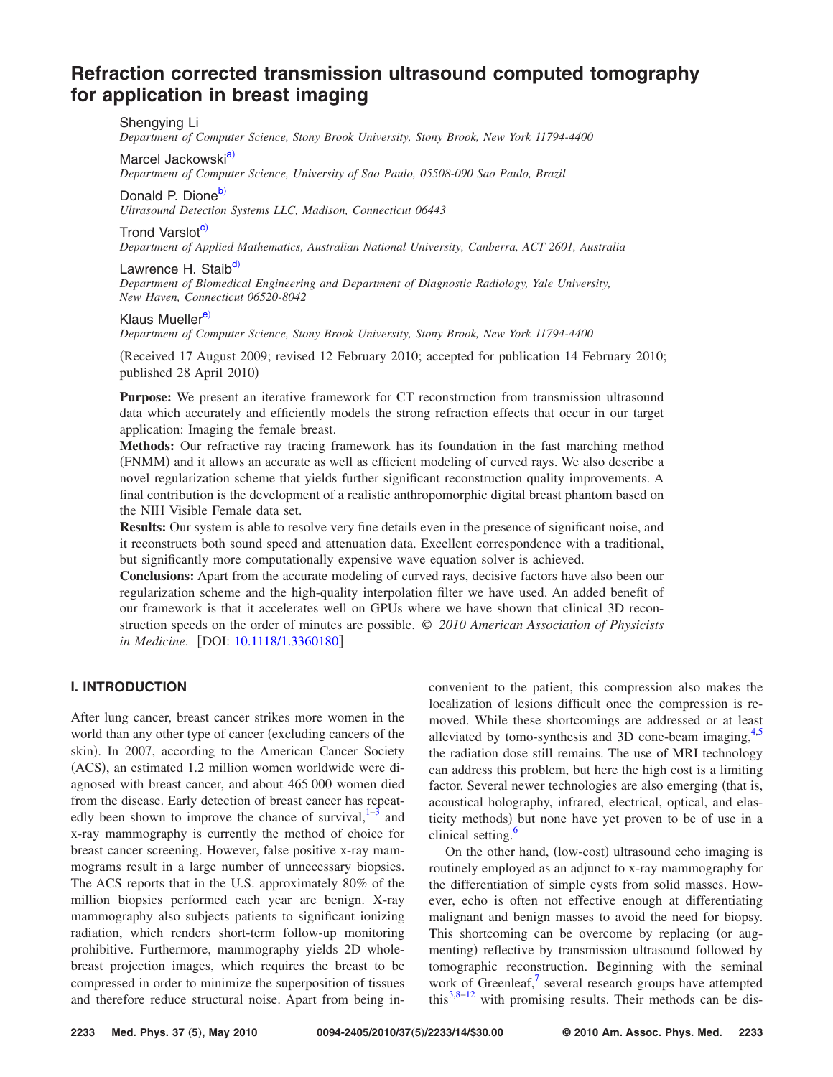# **[Refraction corrected transmission ultrasound computed tomography](http://dx.doi.org/10.1118/1.3360180) [for application in breast imaging](http://dx.doi.org/10.1118/1.3360180)**

Shengying Li

*Department of Computer Science, Stony Brook University, Stony Brook, New York 11794-4400*

# Marcel Jackowski<sup>a)</sup>

*Department of Computer Science, University of Sao Paulo, 05508-090 Sao Paulo, Brazil*

# Donald P. Dion[eb](#page-13-1)) *Ultrasound Detection Systems LLC, Madison, Connecticut 06443*

Trond Varslot<sup>c)</sup> *Department of Applied Mathematics, Australian National University, Canberra, ACT 2601, Australia*

Lawrence H. Staib<sup>d)</sup> *Department of Biomedical Engineering and Department of Diagnostic Radiology, Yale University, New Haven, Connecticut 06520-8042*

# Klaus Mueller<sup>e)</sup>

*Department of Computer Science, Stony Brook University, Stony Brook, New York 11794-4400*

Received 17 August 2009; revised 12 February 2010; accepted for publication 14 February 2010; published 28 April 2010)

**Purpose:** We present an iterative framework for CT reconstruction from transmission ultrasound data which accurately and efficiently models the strong refraction effects that occur in our target application: Imaging the female breast.

**Methods:** Our refractive ray tracing framework has its foundation in the fast marching method (FNMM) and it allows an accurate as well as efficient modeling of curved rays. We also describe a novel regularization scheme that yields further significant reconstruction quality improvements. A final contribution is the development of a realistic anthropomorphic digital breast phantom based on the NIH Visible Female data set.

**Results:** Our system is able to resolve very fine details even in the presence of significant noise, and it reconstructs both sound speed and attenuation data. Excellent correspondence with a traditional, but significantly more computationally expensive wave equation solver is achieved.

**Conclusions:** Apart from the accurate modeling of curved rays, decisive factors have also been our regularization scheme and the high-quality interpolation filter we have used. An added benefit of our framework is that it accelerates well on GPUs where we have shown that clinical 3D reconstruction speeds on the order of minutes are possible. © *2010 American Association of Physicists in Medicine.* [DOI: [10.1118/1.3360180](http://dx.doi.org/10.1118/1.3360180)]

# **I. INTRODUCTION**

After lung cancer, breast cancer strikes more women in the world than any other type of cancer (excluding cancers of the skin). In 2007, according to the American Cancer Society (ACS), an estimated 1.2 million women worldwide were diagnosed with breast cancer, and about 465 000 women died from the disease. Early detection of breast cancer has repeatedly been shown to improve the chance of survival, $1-3$  and x-ray mammography is currently the method of choice for breast cancer screening. However, false positive x-ray mammograms result in a large number of unnecessary biopsies. The ACS reports that in the U.S. approximately 80% of the million biopsies performed each year are benign. X-ray mammography also subjects patients to significant ionizing radiation, which renders short-term follow-up monitoring prohibitive. Furthermore, mammography yields 2D wholebreast projection images, which requires the breast to be compressed in order to minimize the superposition of tissues and therefore reduce structural noise. Apart from being inconvenient to the patient, this compression also makes the localization of lesions difficult once the compression is removed. While these shortcomings are addressed or at least alleviated by tomo-synthesis and 3D cone-beam imaging, $4,5$  $4,5$ the radiation dose still remains. The use of MRI technology can address this problem, but here the high cost is a limiting factor. Several newer technologies are also emerging (that is, acoustical holography, infrared, electrical, optical, and elasticity methods) but none have yet proven to be of use in a clinical setting.<sup>6</sup>

On the other hand, (low-cost) ultrasound echo imaging is routinely employed as an adjunct to x-ray mammography for the differentiation of simple cysts from solid masses. However, echo is often not effective enough at differentiating malignant and benign masses to avoid the need for biopsy. This shortcoming can be overcome by replacing (or augmenting) reflective by transmission ultrasound followed by tomographic reconstruction. Beginning with the seminal work of Greenleaf, $^7$  several research groups have attempted this<sup>3[,8](#page-13-11)[–12](#page-13-12)</sup> with promising results. Their methods can be dis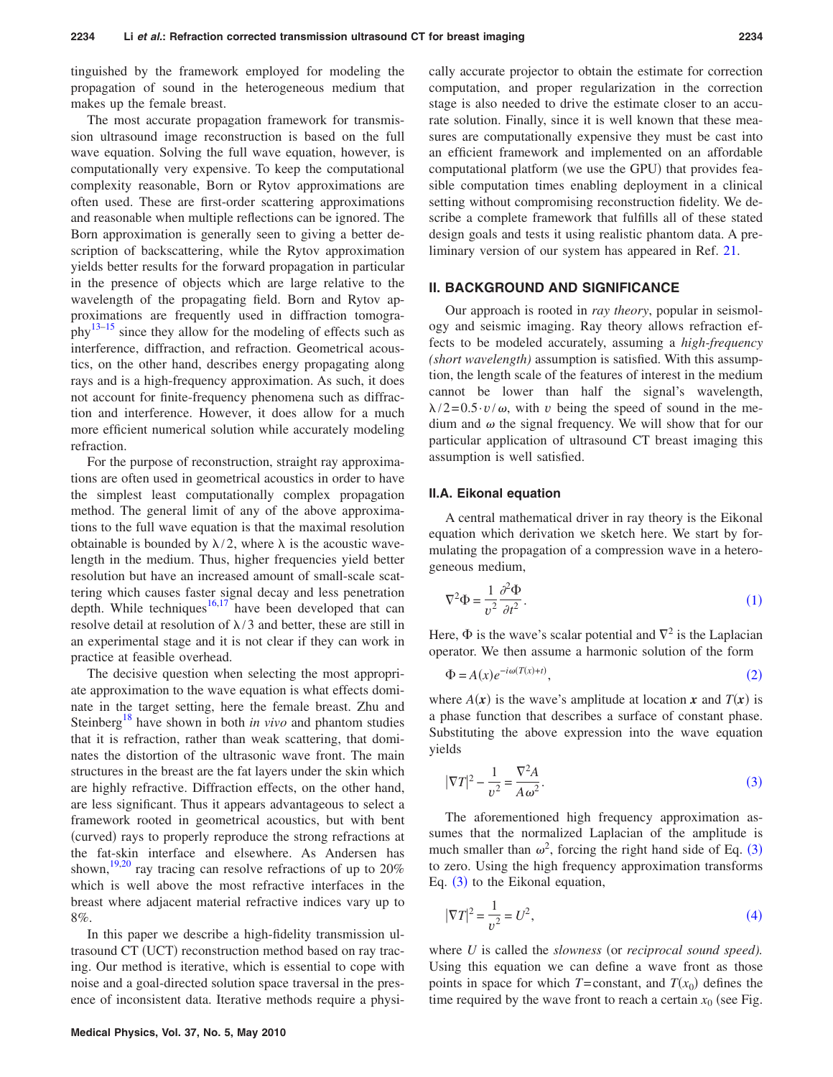tinguished by the framework employed for modeling the propagation of sound in the heterogeneous medium that makes up the female breast.

The most accurate propagation framework for transmission ultrasound image reconstruction is based on the full wave equation. Solving the full wave equation, however, is computationally very expensive. To keep the computational complexity reasonable, Born or Rytov approximations are often used. These are first-order scattering approximations and reasonable when multiple reflections can be ignored. The Born approximation is generally seen to giving a better description of backscattering, while the Rytov approximation yields better results for the forward propagation in particular in the presence of objects which are large relative to the wavelength of the propagating field. Born and Rytov approximations are frequently used in diffraction tomogra- $phy<sup>13–15</sup>$  $phy<sup>13–15</sup>$  $phy<sup>13–15</sup>$  since they allow for the modeling of effects such as interference, diffraction, and refraction. Geometrical acoustics, on the other hand, describes energy propagating along rays and is a high-frequency approximation. As such, it does not account for finite-frequency phenomena such as diffraction and interference. However, it does allow for a much more efficient numerical solution while accurately modeling refraction.

For the purpose of reconstruction, straight ray approximations are often used in geometrical acoustics in order to have the simplest least computationally complex propagation method. The general limit of any of the above approximations to the full wave equation is that the maximal resolution obtainable is bounded by  $\lambda/2$ , where  $\lambda$  is the acoustic wavelength in the medium. Thus, higher frequencies yield better resolution but have an increased amount of small-scale scattering which causes faster signal decay and less penetration depth. While techniques<sup>16[,17](#page-13-16)</sup> have been developed that can resolve detail at resolution of  $\lambda/3$  and better, these are still in an experimental stage and it is not clear if they can work in practice at feasible overhead.

The decisive question when selecting the most appropriate approximation to the wave equation is what effects dominate in the target setting, here the female breast. Zhu and Steinberg<sup>18</sup> have shown in both *in vivo* and phantom studies that it is refraction, rather than weak scattering, that dominates the distortion of the ultrasonic wave front. The main structures in the breast are the fat layers under the skin which are highly refractive. Diffraction effects, on the other hand, are less significant. Thus it appears advantageous to select a framework rooted in geometrical acoustics, but with bent (curved) rays to properly reproduce the strong refractions at the fat-skin interface and elsewhere. As Andersen has shown,<sup>19,[20](#page-13-19)</sup> ray tracing can resolve refractions of up to  $20\%$ which is well above the most refractive interfaces in the breast where adjacent material refractive indices vary up to 8%.

In this paper we describe a high-fidelity transmission ultrasound CT (UCT) reconstruction method based on ray tracing. Our method is iterative, which is essential to cope with noise and a goal-directed solution space traversal in the presence of inconsistent data. Iterative methods require a physically accurate projector to obtain the estimate for correction computation, and proper regularization in the correction stage is also needed to drive the estimate closer to an accurate solution. Finally, since it is well known that these measures are computationally expensive they must be cast into an efficient framework and implemented on an affordable computational platform (we use the GPU) that provides feasible computation times enabling deployment in a clinical setting without compromising reconstruction fidelity. We describe a complete framework that fulfills all of these stated design goals and tests it using realistic phantom data. A preliminary version of our system has appeared in Ref. [21.](#page-13-20)

# **II. BACKGROUND AND SIGNIFICANCE**

Our approach is rooted in *ray theory*, popular in seismology and seismic imaging. Ray theory allows refraction effects to be modeled accurately, assuming a *high-frequency (short wavelength)* assumption is satisfied. With this assumption, the length scale of the features of interest in the medium cannot be lower than half the signal's wavelength,  $\lambda/2 = 0.5 \cdot v / \omega$ , with *v* being the speed of sound in the medium and  $\omega$  the signal frequency. We will show that for our particular application of ultrasound CT breast imaging this assumption is well satisfied.

### **II.A. Eikonal equation**

A central mathematical driver in ray theory is the Eikonal equation which derivation we sketch here. We start by formulating the propagation of a compression wave in a heterogeneous medium,

<span id="page-1-0"></span>
$$
\nabla^2 \Phi = \frac{1}{v^2} \frac{\partial^2 \Phi}{\partial t^2}.
$$
 (1)

Here,  $\Phi$  is the wave's scalar potential and  $\nabla^2$  is the Laplacian operator. We then assume a harmonic solution of the form

<span id="page-1-1"></span>
$$
\Phi = A(x)e^{-i\omega(T(x)+t)},\tag{2}
$$

where  $A(x)$  is the wave's amplitude at location x and  $T(x)$  is a phase function that describes a surface of constant phase. Substituting the above expression into the wave equation yields

<span id="page-1-2"></span>
$$
|\nabla T|^2 - \frac{1}{v^2} = \frac{\nabla^2 A}{A \omega^2}.
$$
\n
$$
(3)
$$

The aforementioned high frequency approximation assumes that the normalized Laplacian of the amplitude is much smaller than  $\omega^2$ , forcing the right hand side of Eq. ([3](#page-1-2)) to zero. Using the high frequency approximation transforms Eq.  $(3)$  $(3)$  $(3)$  to the Eikonal equation,

<span id="page-1-3"></span>
$$
|\nabla T|^2 = \frac{1}{v^2} = U^2,\tag{4}
$$

where *U* is called the *slowness* (or *reciprocal sound speed*). Using this equation we can define a wave front as those points in space for which *T*=constant, and  $T(x_0)$  defines the time required by the wave front to reach a certain  $x_0$  (see Fig.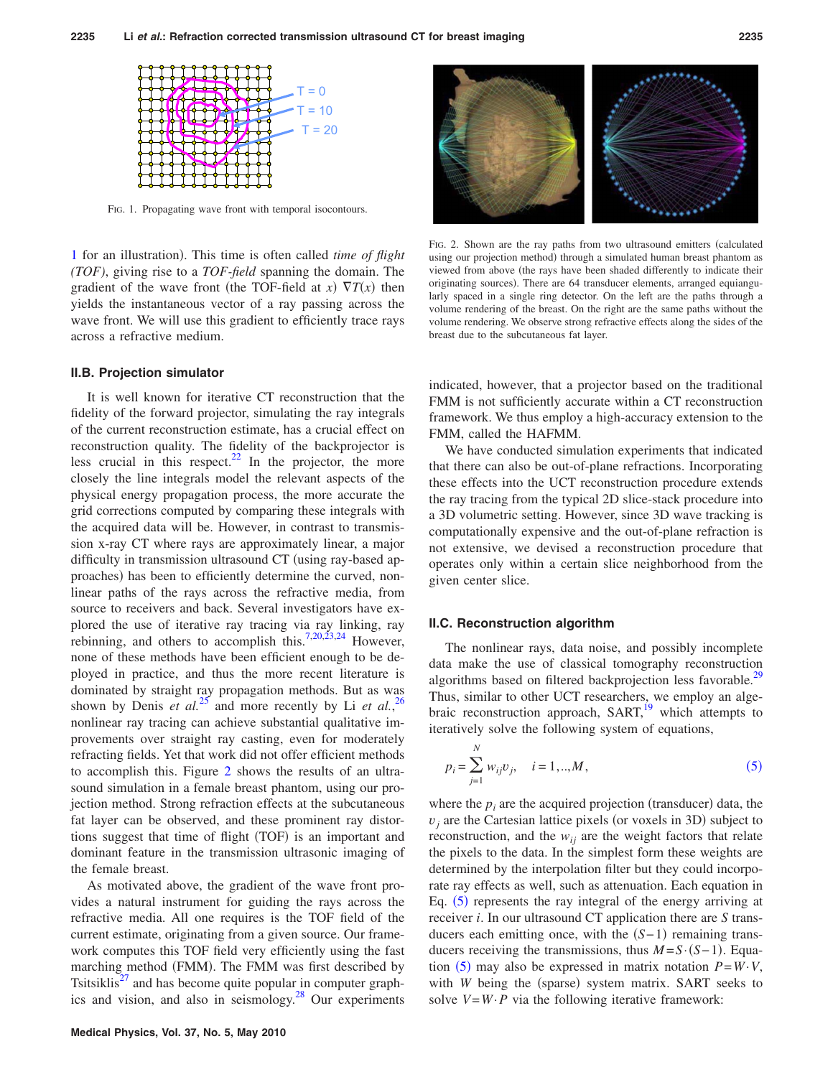<span id="page-2-0"></span>

FIG. 1. Propagating wave front with temporal isocontours.

[1](#page-2-0) for an illustration). This time is often called *time of flight (TOF)*, giving rise to a *TOF-field* spanning the domain. The gradient of the wave front (the TOF-field at *x*)  $\nabla T(x)$  then yields the instantaneous vector of a ray passing across the wave front. We will use this gradient to efficiently trace rays across a refractive medium.

# **II.B. Projection simulator**

It is well known for iterative CT reconstruction that the fidelity of the forward projector, simulating the ray integrals of the current reconstruction estimate, has a crucial effect on reconstruction quality. The fidelity of the backprojector is less crucial in this respect. $^{22}$  In the projector, the more closely the line integrals model the relevant aspects of the physical energy propagation process, the more accurate the grid corrections computed by comparing these integrals with the acquired data will be. However, in contrast to transmission x-ray CT where rays are approximately linear, a major difficulty in transmission ultrasound CT (using ray-based approaches) has been to efficiently determine the curved, nonlinear paths of the rays across the refractive media, from source to receivers and back. Several investigators have explored the use of iterative ray tracing via ray linking, ray rebinning, and others to accomplish this.<sup>7,[20,](#page-13-19)[23,](#page-13-22)[24](#page-13-23)</sup> However, none of these methods have been efficient enough to be deployed in practice, and thus the more recent literature is dominated by straight ray propagation methods. But as was shown by Denis *et al.*<sup>[25](#page-13-24)</sup> and more recently by Li *et al.*<sup>[26](#page-13-25)</sup> nonlinear ray tracing can achieve substantial qualitative improvements over straight ray casting, even for moderately refracting fields. Yet that work did not offer efficient methods to accomplish this. Figure [2](#page-2-1) shows the results of an ultrasound simulation in a female breast phantom, using our projection method. Strong refraction effects at the subcutaneous fat layer can be observed, and these prominent ray distortions suggest that time of flight (TOF) is an important and dominant feature in the transmission ultrasonic imaging of the female breast.

As motivated above, the gradient of the wave front provides a natural instrument for guiding the rays across the refractive media. All one requires is the TOF field of the current estimate, originating from a given source. Our framework computes this TOF field very efficiently using the fast marching method (FMM). The FMM was first described by Tsitsiklis<sup>27</sup> and has become quite popular in computer graphics and vision, and also in seismology. $^{28}$  Our experiments

<span id="page-2-1"></span>

FIG. 2. Shown are the ray paths from two ultrasound emitters calculated using our projection method) through a simulated human breast phantom as viewed from above (the rays have been shaded differently to indicate their originating sources). There are 64 transducer elements, arranged equiangularly spaced in a single ring detector. On the left are the paths through a volume rendering of the breast. On the right are the same paths without the volume rendering. We observe strong refractive effects along the sides of the breast due to the subcutaneous fat layer.

indicated, however, that a projector based on the traditional FMM is not sufficiently accurate within a CT reconstruction framework. We thus employ a high-accuracy extension to the FMM, called the HAFMM.

We have conducted simulation experiments that indicated that there can also be out-of-plane refractions. Incorporating these effects into the UCT reconstruction procedure extends the ray tracing from the typical 2D slice-stack procedure into a 3D volumetric setting. However, since 3D wave tracking is computationally expensive and the out-of-plane refraction is not extensive, we devised a reconstruction procedure that operates only within a certain slice neighborhood from the given center slice.

#### **II.C. Reconstruction algorithm**

The nonlinear rays, data noise, and possibly incomplete data make the use of classical tomography reconstruction algorithms based on filtered backprojection less favorable.<sup>29</sup> Thus, similar to other UCT researchers, we employ an algebraic reconstruction approach,  $SART$ <sup>19</sup>, which attempts to iteratively solve the following system of equations,

<span id="page-2-2"></span>
$$
p_i = \sum_{j=1}^{N} w_{ij} v_j, \quad i = 1, ..., M,
$$
\n(5)

where the  $p_i$  are the acquired projection (transducer) data, the  $v_j$  are the Cartesian lattice pixels (or voxels in 3D) subject to reconstruction, and the  $w_{ij}$  are the weight factors that relate the pixels to the data. In the simplest form these weights are determined by the interpolation filter but they could incorporate ray effects as well, such as attenuation. Each equation in Eq. ([5](#page-2-2)) represents the ray integral of the energy arriving at receiver *i*. In our ultrasound CT application there are *S* transducers each emitting once, with the  $(S-1)$  remaining transducers receiving the transmissions, thus  $M = S \cdot (S - 1)$ . Equa-tion ([5](#page-2-2)) may also be expressed in matrix notation  $P = W \cdot V$ , with *W* being the (sparse) system matrix. SART seeks to solve  $V = W \cdot P$  via the following iterative framework: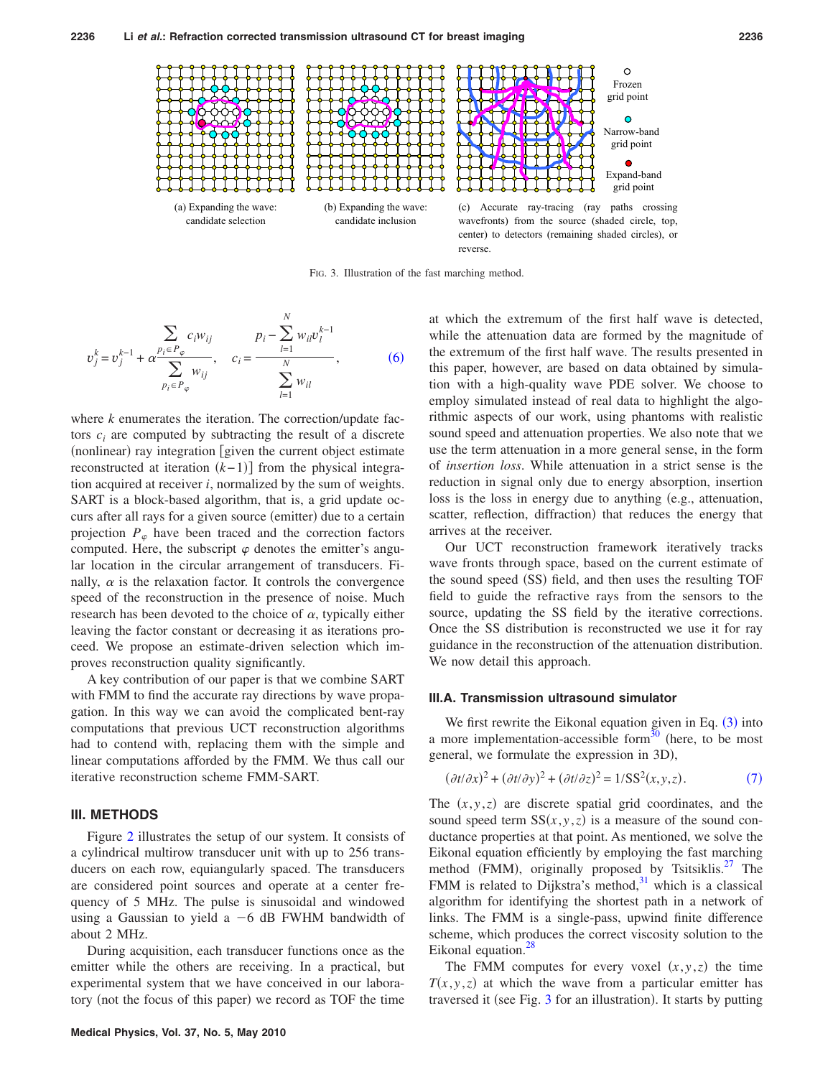<span id="page-3-2"></span>

FIG. 3. Illustration of the fast marching method.

<span id="page-3-0"></span>
$$
v_j^k = v_j^{k-1} + \alpha \frac{\sum_{p_i \in P_{\varphi}} c_i w_{ij}}{\sum_{p_i \in P_{\varphi}} w_{ij}}, \quad c_i = \frac{p_i - \sum_{l=1}^N w_{il} v_l^{k-1}}{\sum_{l=1}^N w_{il}}, \quad (6)
$$

where *k* enumerates the iteration. The correction/update factors  $c_i$  are computed by subtracting the result of a discrete (nonlinear) ray integration [given the current object estimate reconstructed at iteration  $(k-1)$ ] from the physical integration acquired at receiver *i*, normalized by the sum of weights. SART is a block-based algorithm, that is, a grid update occurs after all rays for a given source (emitter) due to a certain projection  $P_{\varphi}$  have been traced and the correction factors computed. Here, the subscript  $\varphi$  denotes the emitter's angular location in the circular arrangement of transducers. Finally,  $\alpha$  is the relaxation factor. It controls the convergence speed of the reconstruction in the presence of noise. Much research has been devoted to the choice of  $\alpha$ , typically either leaving the factor constant or decreasing it as iterations proceed. We propose an estimate-driven selection which improves reconstruction quality significantly.

A key contribution of our paper is that we combine SART with FMM to find the accurate ray directions by wave propagation. In this way we can avoid the complicated bent-ray computations that previous UCT reconstruction algorithms had to contend with, replacing them with the simple and linear computations afforded by the FMM. We thus call our iterative reconstruction scheme FMM-SART.

# **III. METHODS**

Figure [2](#page-2-1) illustrates the setup of our system. It consists of a cylindrical multirow transducer unit with up to 256 transducers on each row, equiangularly spaced. The transducers are considered point sources and operate at a center frequency of 5 MHz. The pulse is sinusoidal and windowed using a Gaussian to yield a  $-6$  dB FWHM bandwidth of about 2 MHz.

During acquisition, each transducer functions once as the emitter while the others are receiving. In a practical, but experimental system that we have conceived in our laboratory (not the focus of this paper) we record as TOF the time

at which the extremum of the first half wave is detected, while the attenuation data are formed by the magnitude of the extremum of the first half wave. The results presented in this paper, however, are based on data obtained by simulation with a high-quality wave PDE solver. We choose to employ simulated instead of real data to highlight the algorithmic aspects of our work, using phantoms with realistic sound speed and attenuation properties. We also note that we use the term attenuation in a more general sense, in the form of *insertion loss*. While attenuation in a strict sense is the reduction in signal only due to energy absorption, insertion loss is the loss in energy due to anything (e.g., attenuation, scatter, reflection, diffraction) that reduces the energy that arrives at the receiver.

Our UCT reconstruction framework iteratively tracks wave fronts through space, based on the current estimate of the sound speed (SS) field, and then uses the resulting TOF field to guide the refractive rays from the sensors to the source, updating the SS field by the iterative corrections. Once the SS distribution is reconstructed we use it for ray guidance in the reconstruction of the attenuation distribution. We now detail this approach.

### **III.A. Transmission ultrasound simulator**

We first rewrite the Eikonal equation given in Eq.  $(3)$  $(3)$  $(3)$  into a more implementation-accessible form $30$  (here, to be most general, we formulate the expression in 3D),

<span id="page-3-1"></span>
$$
(\partial t/\partial x)^2 + (\partial t/\partial y)^2 + (\partial t/\partial z)^2 = 1/\text{SS}^2(x, y, z). \tag{7}
$$

The  $(x, y, z)$  are discrete spatial grid coordinates, and the sound speed term  $SS(x, y, z)$  is a measure of the sound conductance properties at that point. As mentioned, we solve the Eikonal equation efficiently by employing the fast marching method (FMM), originally proposed by Tsitsiklis.<sup>27</sup> The FMM is related to Dijkstra's method, $31$  which is a classical algorithm for identifying the shortest path in a network of links. The FMM is a single-pass, upwind finite difference scheme, which produces the correct viscosity solution to the Eikonal equation.<sup>28</sup>

The FMM computes for every voxel  $(x, y, z)$  the time  $T(x, y, z)$  at which the wave from a particular emitter has traversed it (see Fig. [3](#page-3-2) for an illustration). It starts by putting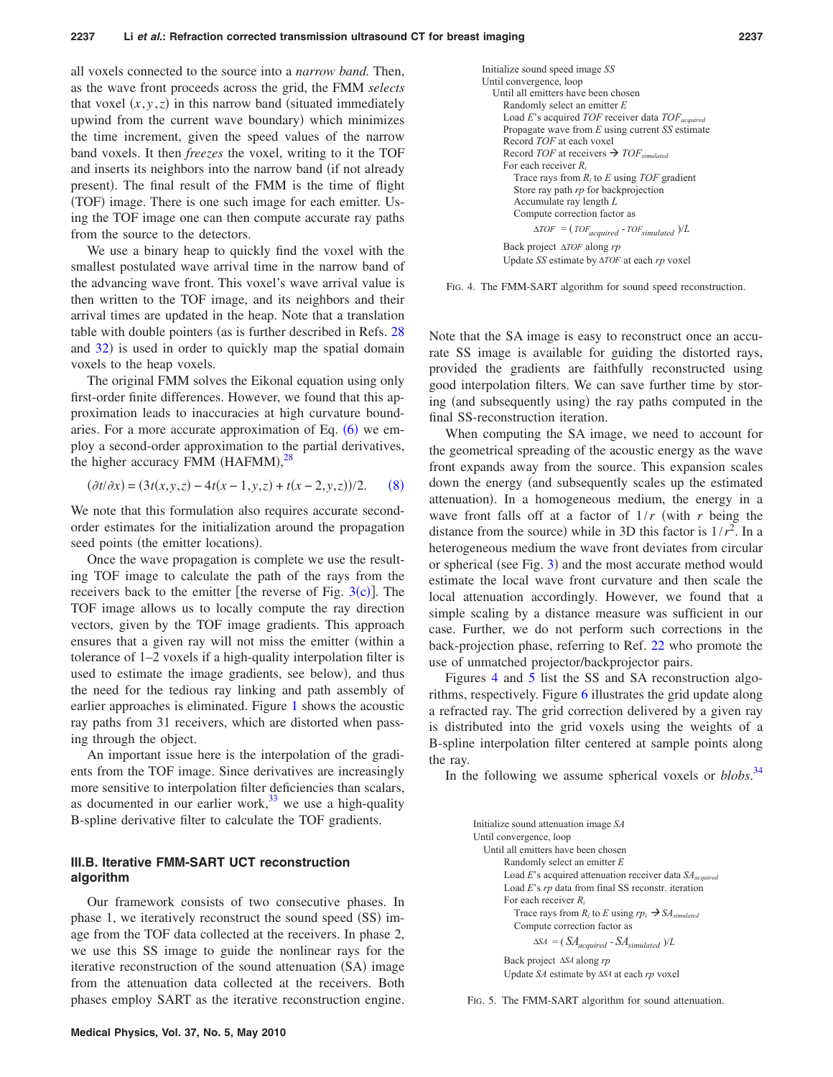all voxels connected to the source into a *narrow band.* Then, as the wave front proceeds across the grid, the FMM *selects* that voxel  $(x, y, z)$  in this narrow band (situated immediately upwind from the current wave boundary) which minimizes the time increment, given the speed values of the narrow band voxels. It then *freezes* the voxel, writing to it the TOF and inserts its neighbors into the narrow band (if not already present). The final result of the FMM is the time of flight (TOF) image. There is one such image for each emitter. Using the TOF image one can then compute accurate ray paths from the source to the detectors.

We use a binary heap to quickly find the voxel with the smallest postulated wave arrival time in the narrow band of the advancing wave front. This voxel's wave arrival value is then written to the TOF image, and its neighbors and their arrival times are updated in the heap. Note that a translation table with double pointers (as is further described in Refs. [28](#page-13-27) and [32](#page-13-31)) is used in order to quickly map the spatial domain voxels to the heap voxels.

The original FMM solves the Eikonal equation using only first-order finite differences. However, we found that this approximation leads to inaccuracies at high curvature boundaries. For a more accurate approximation of Eq.  $(6)$  $(6)$  $(6)$  we employ a second-order approximation to the partial derivatives, the higher accuracy FMM (HAFMM), $^{28}$  $^{28}$  $^{28}$ 

<span id="page-4-0"></span>
$$
(\partial t/\partial x) = (3t(x, y, z) - 4t(x - 1, y, z) + t(x - 2, y, z))/2.
$$
 (8)

We note that this formulation also requires accurate secondorder estimates for the initialization around the propagation seed points (the emitter locations).

Once the wave propagation is complete we use the resulting TOF image to calculate the path of the rays from the receivers back to the emitter [the reverse of Fig.  $3(c)$  $3(c)$ ]. The TOF image allows us to locally compute the ray direction vectors, given by the TOF image gradients. This approach ensures that a given ray will not miss the emitter (within a tolerance of 1–2 voxels if a high-quality interpolation filter is used to estimate the image gradients, see below), and thus the need for the tedious ray linking and path assembly of earlier approaches is eliminated. Figure [1](#page-2-0) shows the acoustic ray paths from 31 receivers, which are distorted when passing through the object.

An important issue here is the interpolation of the gradients from the TOF image. Since derivatives are increasingly more sensitive to interpolation filter deficiencies than scalars, as documented in our earlier work, $33$  we use a high-quality B-spline derivative filter to calculate the TOF gradients.

# **III.B. Iterative FMM-SART UCT reconstruction algorithm**

Our framework consists of two consecutive phases. In phase 1, we iteratively reconstruct the sound speed (SS) image from the TOF data collected at the receivers. In phase 2, we use this SS image to guide the nonlinear rays for the iterative reconstruction of the sound attenuation (SA) image from the attenuation data collected at the receivers. Both phases employ SART as the iterative reconstruction engine.

```
Initialize sound speed image SS
Until convergence, loop
  Until all emitters have been chosen
     Randomly select an emitter E
     Load E's acquired TOF receiver data TOF<sub>acquired</sub>
     Propagate wave from E using current SS estimate
     Record TOF at each voxel
     Record TOF at receivers \rightarrow TOF<sub>simulated</sub>
     For each receiver Ri
        Trace rays from Ri to E using TOF gradient
        Store ray path rp for backprojection
        Accumulate ray length L
       Compute correction factor as
             \Delta TOF = (TOF_{acquired} - TOF_{simulated})/LBack project ∆TOF along rp
     Update SS estimate by ∆TOF at each rp voxel
```
FIG. 4. The FMM-SART algorithm for sound speed reconstruction.

Note that the SA image is easy to reconstruct once an accurate SS image is available for guiding the distorted rays, provided the gradients are faithfully reconstructed using good interpolation filters. We can save further time by storing (and subsequently using) the ray paths computed in the final SS-reconstruction iteration.

When computing the SA image, we need to account for the geometrical spreading of the acoustic energy as the wave front expands away from the source. This expansion scales down the energy (and subsequently scales up the estimated attenuation). In a homogeneous medium, the energy in a wave front falls off at a factor of  $1/r$  (with  $r$  being the distance from the source) while in 3D this factor is  $1/r^2$ . In a heterogeneous medium the wave front deviates from circular or spherical (see Fig. [3](#page-3-2)) and the most accurate method would estimate the local wave front curvature and then scale the local attenuation accordingly. However, we found that a simple scaling by a distance measure was sufficient in our case. Further, we do not perform such corrections in the back-projection phase, referring to Ref. [22](#page-13-21) who promote the use of unmatched projector/backprojector pairs.

Figures [4](#page-4-1) and [5](#page-4-2) list the SS and SA reconstruction algorithms, respectively. Figure [6](#page-5-0) illustrates the grid update along a refracted ray. The grid correction delivered by a given ray is distributed into the grid voxels using the weights of a B-spline interpolation filter centered at sample points along the ray.

In the following we assume spherical voxels or *blobs*. [34](#page-13-33)

```
Initialize sound attenuation image SA
Until convergence, loop
  Until all emitters have been chosen
        Randomly select an emitter E
        Load E's acquired attenuation receiver data SA<sub>acquired</sub>
        Load E's rp data from final SS reconstr. iteration
        For each receiver Ri
           Trace rays from R_i to E using rp_i \rightarrow SA_{simulated}Compute correction factor as
                \Delta SA = (SA_{acquired} - SA_{simulated} )/L
        Back project ∆SA along rp
        Update SA estimate by ∆SA at each rp voxel
```
FIG. 5. The FMM-SART algorithm for sound attenuation.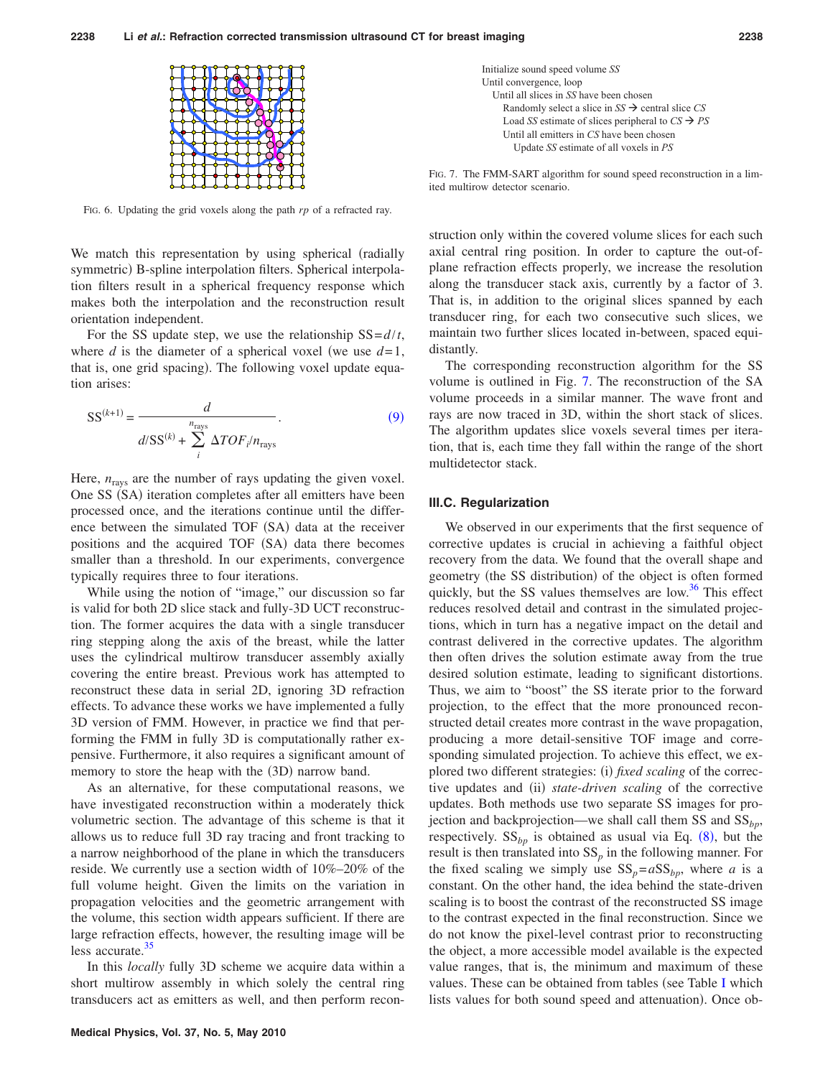<span id="page-5-0"></span>

FIG. 6. Updating the grid voxels along the path *rp* of a refracted ray.

We match this representation by using spherical (radially symmetric) B-spline interpolation filters. Spherical interpolation filters result in a spherical frequency response which makes both the interpolation and the reconstruction result orientation independent.

For the SS update step, we use the relationship  $SS = d/t$ , where  $d$  is the diameter of a spherical voxel (we use  $d=1$ , that is, one grid spacing). The following voxel update equation arises:

<span id="page-5-1"></span>
$$
SS^{(k+1)} = \frac{d}{d/SS^{(k)} + \sum_{i}^{n_{\text{rays}}} \Delta TOF_i/n_{\text{rays}}}
$$
\n(9)

Here,  $n_{\text{ravs}}$  are the number of rays updating the given voxel. One SS (SA) iteration completes after all emitters have been processed once, and the iterations continue until the difference between the simulated TOF (SA) data at the receiver positions and the acquired TOF (SA) data there becomes smaller than a threshold. In our experiments, convergence typically requires three to four iterations.

While using the notion of "image," our discussion so far is valid for both 2D slice stack and fully-3D UCT reconstruction. The former acquires the data with a single transducer ring stepping along the axis of the breast, while the latter uses the cylindrical multirow transducer assembly axially covering the entire breast. Previous work has attempted to reconstruct these data in serial 2D, ignoring 3D refraction effects. To advance these works we have implemented a fully 3D version of FMM. However, in practice we find that performing the FMM in fully 3D is computationally rather expensive. Furthermore, it also requires a significant amount of memory to store the heap with the (3D) narrow band.

As an alternative, for these computational reasons, we have investigated reconstruction within a moderately thick volumetric section. The advantage of this scheme is that it allows us to reduce full 3D ray tracing and front tracking to a narrow neighborhood of the plane in which the transducers reside. We currently use a section width of 10%–20% of the full volume height. Given the limits on the variation in propagation velocities and the geometric arrangement with the volume, this section width appears sufficient. If there are large refraction effects, however, the resulting image will be less accurate. $\frac{35}{2}$ 

In this *locally* fully 3D scheme we acquire data within a short multirow assembly in which solely the central ring transducers act as emitters as well, and then perform recon<span id="page-5-2"></span>Initialize sound speed volume *SS* Until convergence, loop Until all slices in *SS* have been chosen Randomly select a slice in  $SS \rightarrow$  central slice *CS* Load *SS* estimate of slices peripheral to  $CS \rightarrow PS$ Until all emitters in *CS* have been chosen Update *SS* estimate of all voxels in *PS*

FIG. 7. The FMM-SART algorithm for sound speed reconstruction in a limited multirow detector scenario.

struction only within the covered volume slices for each such axial central ring position. In order to capture the out-ofplane refraction effects properly, we increase the resolution along the transducer stack axis, currently by a factor of 3. That is, in addition to the original slices spanned by each transducer ring, for each two consecutive such slices, we maintain two further slices located in-between, spaced equidistantly.

The corresponding reconstruction algorithm for the SS volume is outlined in Fig. [7.](#page-5-2) The reconstruction of the SA volume proceeds in a similar manner. The wave front and rays are now traced in 3D, within the short stack of slices. The algorithm updates slice voxels several times per iteration, that is, each time they fall within the range of the short multidetector stack.

# **III.C. Regularization**

We observed in our experiments that the first sequence of corrective updates is crucial in achieving a faithful object recovery from the data. We found that the overall shape and geometry (the SS distribution) of the object is often formed quickly, but the SS values themselves are low.<sup>36</sup> This effect reduces resolved detail and contrast in the simulated projections, which in turn has a negative impact on the detail and contrast delivered in the corrective updates. The algorithm then often drives the solution estimate away from the true desired solution estimate, leading to significant distortions. Thus, we aim to "boost" the SS iterate prior to the forward projection, to the effect that the more pronounced reconstructed detail creates more contrast in the wave propagation, producing a more detail-sensitive TOF image and corresponding simulated projection. To achieve this effect, we explored two different strategies: (i) fixed scaling of the corrective updates and (ii) state-driven scaling of the corrective updates. Both methods use two separate SS images for projection and backprojection—we shall call them SS and  $SS<sub>bn</sub>$ , respectively.  $SS_{bp}$  is obtained as usual via Eq.  $(8)$  $(8)$  $(8)$ , but the result is then translated into  $SS_p$  in the following manner. For the fixed scaling we simply use  $SS_p = aSS_{bp}$ , where *a* is a constant. On the other hand, the idea behind the state-driven scaling is to boost the contrast of the reconstructed SS image to the contrast expected in the final reconstruction. Since we do not know the pixel-level contrast prior to reconstructing the object, a more accessible model available is the expected value ranges, that is, the minimum and maximum of these values. These can be obtained from tables (see Table [I](#page-6-0) which lists values for both sound speed and attenuation). Once ob-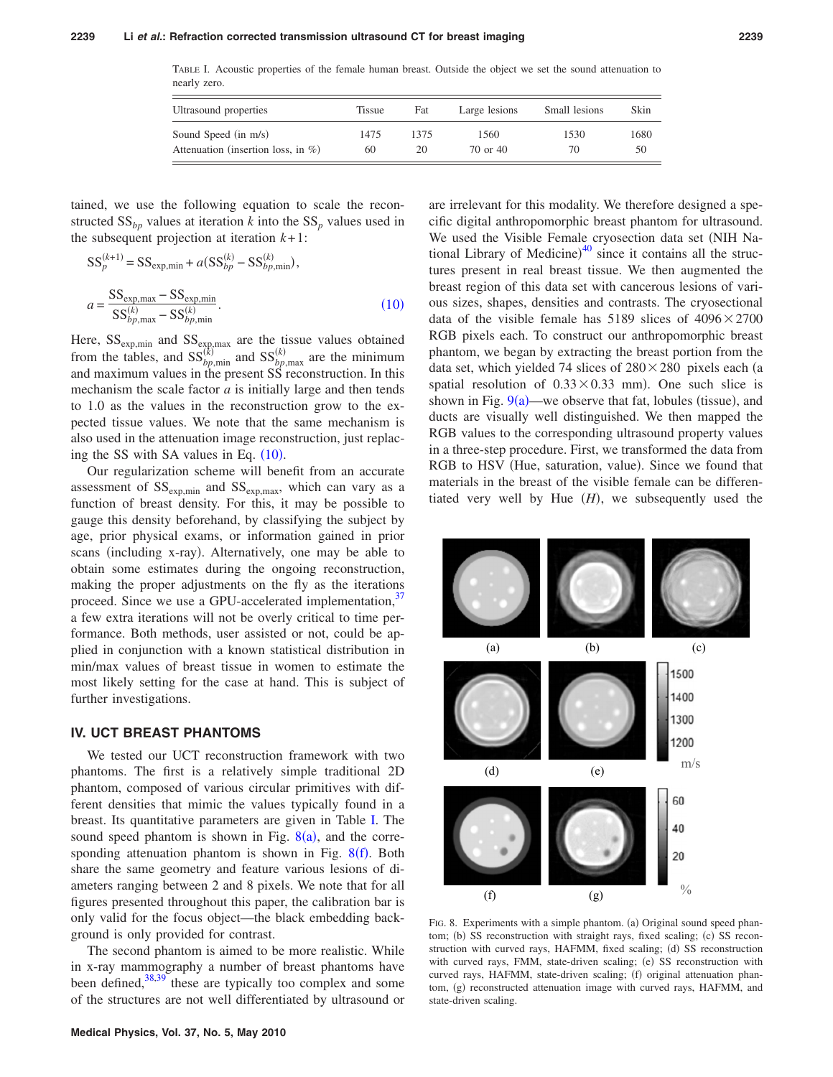<span id="page-6-0"></span>TABLE I. Acoustic properties of the female human breast. Outside the object we set the sound attenuation to nearly zero.

| Ultrasound properties                 | Tissue | Fat  | Large lesions | Small lesions | Skin |
|---------------------------------------|--------|------|---------------|---------------|------|
| Sound Speed (in m/s)                  | 1475   | 1375 | 1560          | 1530          | 1680 |
| Attenuation (insertion loss, in $%$ ) | 60     | 20   | 70 or 40      | 70            | 50   |

tained, we use the following equation to scale the reconstructed  $SS_{bp}$  values at iteration *k* into the  $SS_p$  values used in the subsequent projection at iteration  $k+1$ :

<span id="page-6-1"></span>
$$
SS_{p}^{(k+1)} = SS_{exp,min} + a(SS_{bp}^{(k)} - SS_{bp,min}^{(k)}),
$$
  
\n
$$
a = \frac{SS_{exp,max} - SS_{exp,min}}{SS_{bp,max}^{(k)}}.
$$
 (10)

Here,  $SS_{exp,min}$  and  $SS_{exp,max}$  are the tissue values obtained from the tables, and  $SS_{bp,min}^{(k)}$  and  $SS_{bp,max}^{(k)}$  are the minimum and maximum values in the present SS reconstruction. In this mechanism the scale factor *a* is initially large and then tends to 1.0 as the values in the reconstruction grow to the expected tissue values. We note that the same mechanism is also used in the attenuation image reconstruction, just replacing the SS with SA values in Eq.  $(10)$  $(10)$  $(10)$ .

Our regularization scheme will benefit from an accurate assessment of  $SS_{\text{exp,min}}$  and  $SS_{\text{exp,max}}$ , which can vary as a function of breast density. For this, it may be possible to gauge this density beforehand, by classifying the subject by age, prior physical exams, or information gained in prior scans (including x-ray). Alternatively, one may be able to obtain some estimates during the ongoing reconstruction, making the proper adjustments on the fly as the iterations proceed. Since we use a GPU-accelerated implementation,<sup>37</sup> a few extra iterations will not be overly critical to time performance. Both methods, user assisted or not, could be applied in conjunction with a known statistical distribution in min/max values of breast tissue in women to estimate the most likely setting for the case at hand. This is subject of further investigations.

# **IV. UCT BREAST PHANTOMS**

We tested our UCT reconstruction framework with two phantoms. The first is a relatively simple traditional 2D phantom, composed of various circular primitives with different densities that mimic the values typically found in a breast. Its quantitative parameters are given in Table [I.](#page-6-0) The sound speed phantom is shown in Fig.  $8(a)$  $8(a)$ , and the corresponding attenuation phantom is shown in Fig.  $8(f)$  $8(f)$ . Both share the same geometry and feature various lesions of diameters ranging between 2 and 8 pixels. We note that for all figures presented throughout this paper, the calibration bar is only valid for the focus object—the black embedding background is only provided for contrast.

The second phantom is aimed to be more realistic. While in x-ray mammography a number of breast phantoms have been defined, $38,39$  $38,39$  these are typically too complex and some of the structures are not well differentiated by ultrasound or are irrelevant for this modality. We therefore designed a specific digital anthropomorphic breast phantom for ultrasound. We used the Visible Female cryosection data set (NIH National Library of Medicine) $^{40}$  $^{40}$  $^{40}$  since it contains all the structures present in real breast tissue. We then augmented the breast region of this data set with cancerous lesions of various sizes, shapes, densities and contrasts. The cryosectional data of the visible female has 5189 slices of  $4096 \times 2700$ RGB pixels each. To construct our anthropomorphic breast phantom, we began by extracting the breast portion from the data set, which yielded 74 slices of  $280 \times 280$  pixels each (a spatial resolution of  $0.33 \times 0.33$  mm). One such slice is shown in Fig.  $9(a)$  $9(a)$ —we observe that fat, lobules (tissue), and ducts are visually well distinguished. We then mapped the RGB values to the corresponding ultrasound property values in a three-step procedure. First, we transformed the data from RGB to HSV (Hue, saturation, value). Since we found that materials in the breast of the visible female can be differentiated very well by Hue  $(H)$ , we subsequently used the

<span id="page-6-2"></span>

FIG. 8. Experiments with a simple phantom. (a) Original sound speed phantom; (b) SS reconstruction with straight rays, fixed scaling; (c) SS reconstruction with curved rays, HAFMM, fixed scaling; (d) SS reconstruction with curved rays, FMM, state-driven scaling; (e) SS reconstruction with curved rays, HAFMM, state-driven scaling; (f) original attenuation phantom, (g) reconstructed attenuation image with curved rays, HAFMM, and state-driven scaling.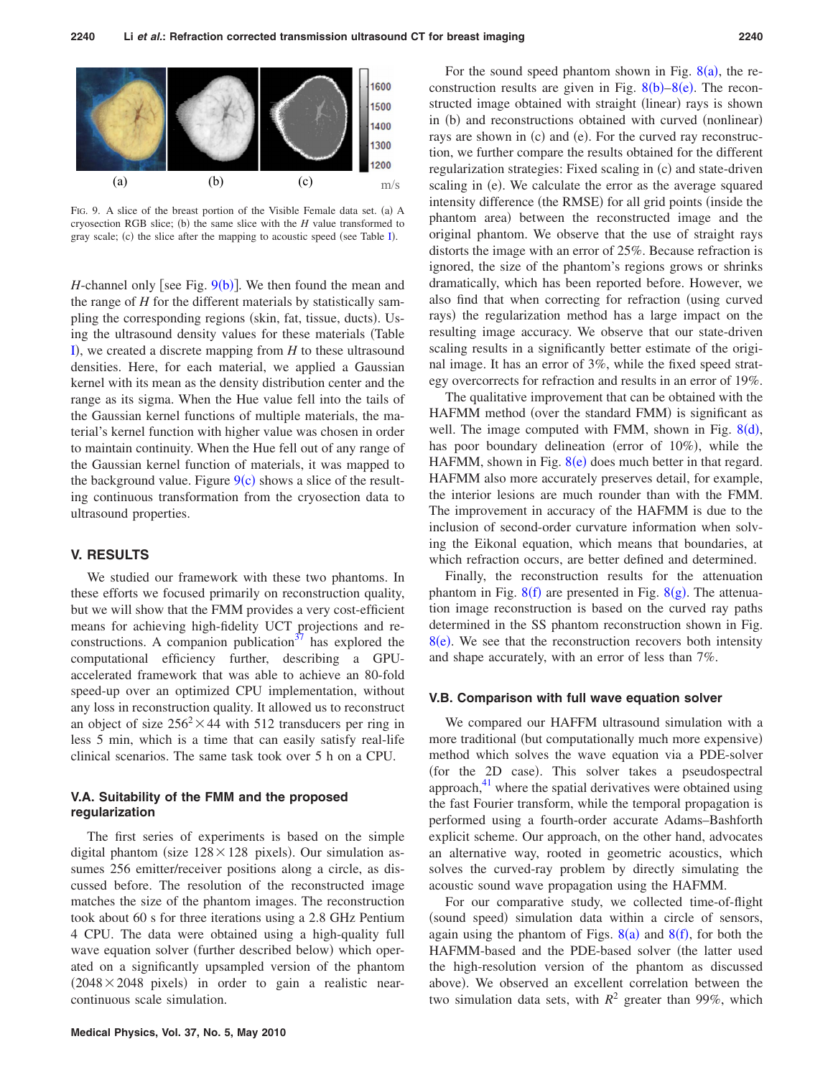<span id="page-7-0"></span>

FIG. 9. A slice of the breast portion of the Visible Female data set. (a) A cryosection RGB slice; (b) the same slice with the  $H$  value transformed to gray scale; (c) the slice after the mapping to acoustic speed (see Table [I](#page-6-0)).

*H*-channel only [see Fig.  $9(b)$  $9(b)$ ]. We then found the mean and the range of *H* for the different materials by statistically sampling the corresponding regions (skin, fat, tissue, ducts). Using the ultrasound density values for these materials (Table  $I$ ), we created a discrete mapping from  $H$  to these ultrasound densities. Here, for each material, we applied a Gaussian kernel with its mean as the density distribution center and the range as its sigma. When the Hue value fell into the tails of the Gaussian kernel functions of multiple materials, the material's kernel function with higher value was chosen in order to maintain continuity. When the Hue fell out of any range of the Gaussian kernel function of materials, it was mapped to the background value. Figure  $9(c)$  $9(c)$  shows a slice of the resulting continuous transformation from the cryosection data to ultrasound properties.

### **V. RESULTS**

We studied our framework with these two phantoms. In these efforts we focused primarily on reconstruction quality, but we will show that the FMM provides a very cost-efficient means for achieving high-fidelity UCT projections and reconstructions. A companion publication $37$  has explored the computational efficiency further, describing a GPUaccelerated framework that was able to achieve an 80-fold speed-up over an optimized CPU implementation, without any loss in reconstruction quality. It allowed us to reconstruct an object of size  $256^2 \times 44$  with 512 transducers per ring in less 5 min, which is a time that can easily satisfy real-life clinical scenarios. The same task took over 5 h on a CPU.

# **V.A. Suitability of the FMM and the proposed regularization**

The first series of experiments is based on the simple digital phantom (size  $128 \times 128$  pixels). Our simulation assumes 256 emitter/receiver positions along a circle, as discussed before. The resolution of the reconstructed image matches the size of the phantom images. The reconstruction took about 60 s for three iterations using a 2.8 GHz Pentium 4 CPU. The data were obtained using a high-quality full wave equation solver (further described below) which operated on a significantly upsampled version of the phantom  $(2048 \times 2048$  pixels) in order to gain a realistic nearcontinuous scale simulation.

For the sound speed phantom shown in Fig.  $8(a)$  $8(a)$ , the reconstruction results are given in Fig.  $8(b)-8(e)$  $8(b)-8(e)$ . The reconstructed image obtained with straight (linear) rays is shown in (b) and reconstructions obtained with curved (nonlinear) rays are shown in (c) and (e). For the curved ray reconstruction, we further compare the results obtained for the different regularization strategies: Fixed scaling in (c) and state-driven scaling in (e). We calculate the error as the average squared intensity difference (the RMSE) for all grid points (inside the phantom area) between the reconstructed image and the original phantom. We observe that the use of straight rays distorts the image with an error of 25%. Because refraction is ignored, the size of the phantom's regions grows or shrinks dramatically, which has been reported before. However, we also find that when correcting for refraction (using curved rays) the regularization method has a large impact on the resulting image accuracy. We observe that our state-driven scaling results in a significantly better estimate of the original image. It has an error of 3%, while the fixed speed strategy overcorrects for refraction and results in an error of 19%.

The qualitative improvement that can be obtained with the HAFMM method (over the standard FMM) is significant as well. The image computed with FMM, shown in Fig.  $8(d)$  $8(d)$ , has poor boundary delineation (error of 10%), while the HAFMM, shown in Fig. [8](#page-6-2)(e) does much better in that regard. HAFMM also more accurately preserves detail, for example, the interior lesions are much rounder than with the FMM. The improvement in accuracy of the HAFMM is due to the inclusion of second-order curvature information when solving the Eikonal equation, which means that boundaries, at which refraction occurs, are better defined and determined.

Finally, the reconstruction results for the attenuation phantom in Fig.  $8(f)$  $8(f)$  are presented in Fig.  $8(g)$ . The attenuation image reconstruction is based on the curved ray paths determined in the SS phantom reconstruction shown in Fig.  $8(e)$  $8(e)$ . We see that the reconstruction recovers both intensity and shape accurately, with an error of less than 7%.

#### **V.B. Comparison with full wave equation solver**

We compared our HAFFM ultrasound simulation with a more traditional (but computationally much more expensive) method which solves the wave equation via a PDE-solver (for the 2D case). This solver takes a pseudospectral approach, $41$  where the spatial derivatives were obtained using the fast Fourier transform, while the temporal propagation is performed using a fourth-order accurate Adams–Bashforth explicit scheme. Our approach, on the other hand, advocates an alternative way, rooted in geometric acoustics, which solves the curved-ray problem by directly simulating the acoustic sound wave propagation using the HAFMM.

For our comparative study, we collected time-of-flight (sound speed) simulation data within a circle of sensors, again using the phantom of Figs.  $8(a)$  $8(a)$  and  $8(f)$ , for both the HAFMM-based and the PDE-based solver (the latter used the high-resolution version of the phantom as discussed above). We observed an excellent correlation between the two simulation data sets, with  $R^2$  greater than 99%, which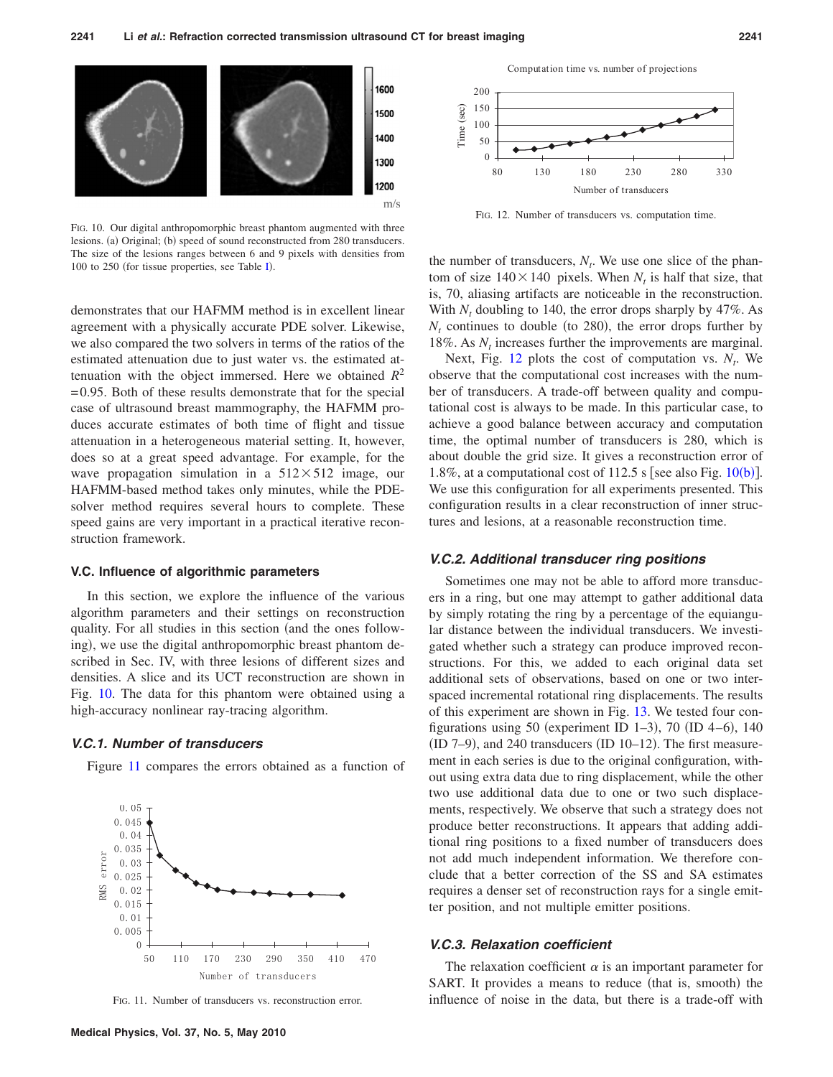<span id="page-8-0"></span>

FIG. 10. Our digital anthropomorphic breast phantom augmented with three lesions. (a) Original; (b) speed of sound reconstructed from 280 transducers. The size of the lesions ranges between 6 and 9 pixels with densities from 100 to 250 (for tissue properties, see Table [I](#page-6-0)).

demonstrates that our HAFMM method is in excellent linear agreement with a physically accurate PDE solver. Likewise, we also compared the two solvers in terms of the ratios of the estimated attenuation due to just water vs. the estimated attenuation with the object immersed. Here we obtained  $R^2$ = 0.95. Both of these results demonstrate that for the special case of ultrasound breast mammography, the HAFMM produces accurate estimates of both time of flight and tissue attenuation in a heterogeneous material setting. It, however, does so at a great speed advantage. For example, for the wave propagation simulation in a  $512 \times 512$  image, our HAFMM-based method takes only minutes, while the PDEsolver method requires several hours to complete. These speed gains are very important in a practical iterative reconstruction framework.

#### **V.C. Influence of algorithmic parameters**

In this section, we explore the influence of the various algorithm parameters and their settings on reconstruction quality. For all studies in this section (and the ones following), we use the digital anthropomorphic breast phantom described in Sec. IV, with three lesions of different sizes and densities. A slice and its UCT reconstruction are shown in Fig. [10.](#page-8-0) The data for this phantom were obtained using a high-accuracy nonlinear ray-tracing algorithm.

# *V.C.1. Number of transducers*

Figure [11](#page-8-1) compares the errors obtained as a function of

<span id="page-8-1"></span>

FIG. 11. Number of transducers vs. reconstruction error.

Computation time vs. number of projections

<span id="page-8-2"></span>

FIG. 12. Number of transducers vs. computation time.

the number of transducers,  $N_t$ . We use one slice of the phantom of size  $140 \times 140$  pixels. When  $N_t$  is half that size, that is, 70, aliasing artifacts are noticeable in the reconstruction. With  $N_t$  doubling to 140, the error drops sharply by 47%. As  $N_t$  continues to double (to 280), the error drops further by 18%. As *Nt* increases further the improvements are marginal.

Next, Fig.  $12$  plots the cost of computation vs.  $N_t$ . We observe that the computational cost increases with the number of transducers. A trade-off between quality and computational cost is always to be made. In this particular case, to achieve a good balance between accuracy and computation time, the optimal number of transducers is 280, which is about double the grid size. It gives a reconstruction error of 1.8%, at a computational cost of 112.5 s [see also Fig.  $10(b)$  $10(b)$ ]. We use this configuration for all experiments presented. This configuration results in a clear reconstruction of inner structures and lesions, at a reasonable reconstruction time.

### *V.C.2. Additional transducer ring positions*

Sometimes one may not be able to afford more transducers in a ring, but one may attempt to gather additional data by simply rotating the ring by a percentage of the equiangular distance between the individual transducers. We investigated whether such a strategy can produce improved reconstructions. For this, we added to each original data set additional sets of observations, based on one or two interspaced incremental rotational ring displacements. The results of this experiment are shown in Fig. [13.](#page-9-0) We tested four configurations using 50 (experiment ID  $1-3$ ), 70 (ID  $4-6$ ), 140  $($ ID 7–9 $)$ , and 240 transducers  $($ ID 10–12 $)$ . The first measurement in each series is due to the original configuration, without using extra data due to ring displacement, while the other two use additional data due to one or two such displacements, respectively. We observe that such a strategy does not produce better reconstructions. It appears that adding additional ring positions to a fixed number of transducers does not add much independent information. We therefore conclude that a better correction of the SS and SA estimates requires a denser set of reconstruction rays for a single emitter position, and not multiple emitter positions.

# *V.C.3. Relaxation coefficient*

The relaxation coefficient  $\alpha$  is an important parameter for SART. It provides a means to reduce (that is, smooth) the influence of noise in the data, but there is a trade-off with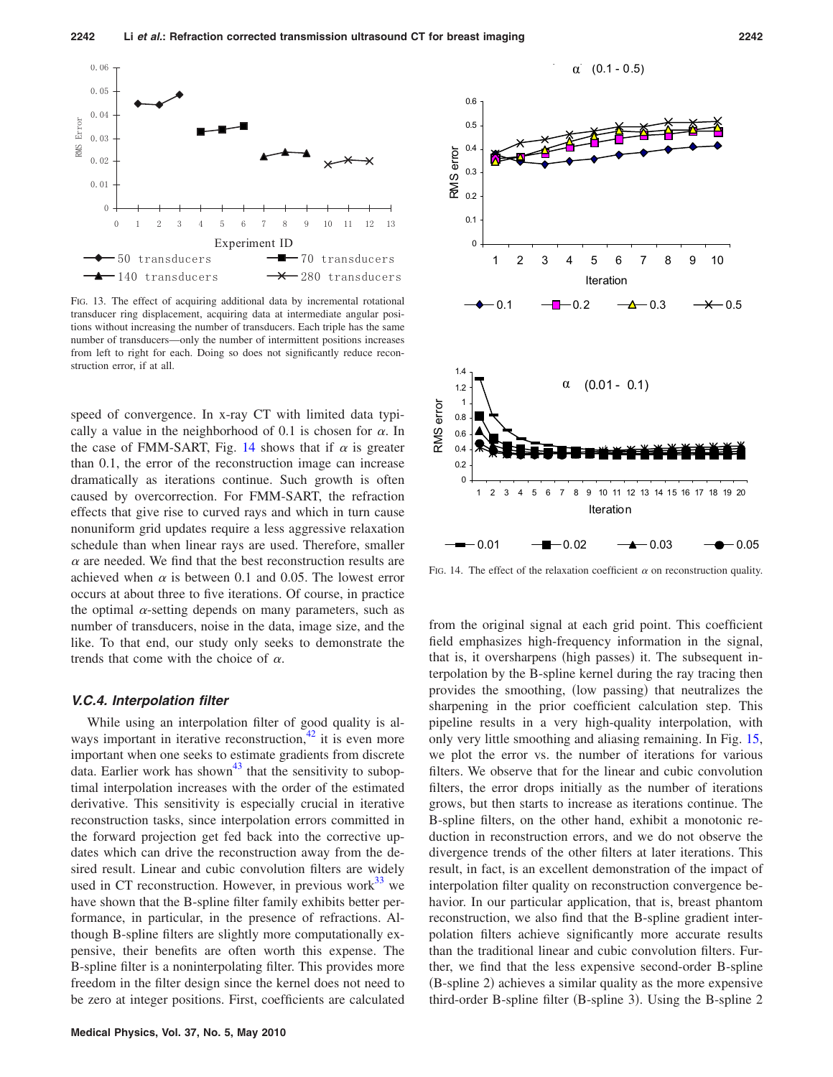<span id="page-9-0"></span>

FIG. 13. The effect of acquiring additional data by incremental rotational transducer ring displacement, acquiring data at intermediate angular positions without increasing the number of transducers. Each triple has the same number of transducers—only the number of intermittent positions increases from left to right for each. Doing so does not significantly reduce reconstruction error, if at all.

speed of convergence. In x-ray CT with limited data typically a value in the neighborhood of 0.1 is chosen for  $\alpha$ . In the case of FMM-SART, Fig. [14](#page-9-1) shows that if  $\alpha$  is greater than 0.1, the error of the reconstruction image can increase dramatically as iterations continue. Such growth is often caused by overcorrection. For FMM-SART, the refraction effects that give rise to curved rays and which in turn cause nonuniform grid updates require a less aggressive relaxation schedule than when linear rays are used. Therefore, smaller  $\alpha$  are needed. We find that the best reconstruction results are achieved when  $\alpha$  is between 0.1 and 0.05. The lowest error occurs at about three to five iterations. Of course, in practice the optimal  $\alpha$ -setting depends on many parameters, such as number of transducers, noise in the data, image size, and the like. To that end, our study only seeks to demonstrate the trends that come with the choice of  $\alpha$ .

### *V.C.4. Interpolation filter*

While using an interpolation filter of good quality is always important in iterative reconstruction, $42$  it is even more important when one seeks to estimate gradients from discrete data. Earlier work has shown<sup>43</sup> that the sensitivity to suboptimal interpolation increases with the order of the estimated derivative. This sensitivity is especially crucial in iterative reconstruction tasks, since interpolation errors committed in the forward projection get fed back into the corrective updates which can drive the reconstruction away from the desired result. Linear and cubic convolution filters are widely used in CT reconstruction. However, in previous work $^{33}$  we have shown that the B-spline filter family exhibits better performance, in particular, in the presence of refractions. Although B-spline filters are slightly more computationally expensive, their benefits are often worth this expense. The B-spline filter is a noninterpolating filter. This provides more freedom in the filter design since the kernel does not need to be zero at integer positions. First, coefficients are calculated

<span id="page-9-1"></span>

 $\alpha$  (0.1 - 0.5)

FIG. 14. The effect of the relaxation coefficient  $\alpha$  on reconstruction quality.

from the original signal at each grid point. This coefficient field emphasizes high-frequency information in the signal, that is, it oversharpens (high passes) it. The subsequent interpolation by the B-spline kernel during the ray tracing then provides the smoothing, (low passing) that neutralizes the sharpening in the prior coefficient calculation step. This pipeline results in a very high-quality interpolation, with only very little smoothing and aliasing remaining. In Fig. [15,](#page-10-0) we plot the error vs. the number of iterations for various filters. We observe that for the linear and cubic convolution filters, the error drops initially as the number of iterations grows, but then starts to increase as iterations continue. The B-spline filters, on the other hand, exhibit a monotonic reduction in reconstruction errors, and we do not observe the divergence trends of the other filters at later iterations. This result, in fact, is an excellent demonstration of the impact of interpolation filter quality on reconstruction convergence behavior. In our particular application, that is, breast phantom reconstruction, we also find that the B-spline gradient interpolation filters achieve significantly more accurate results than the traditional linear and cubic convolution filters. Further, we find that the less expensive second-order B-spline (B-spline 2) achieves a similar quality as the more expensive third-order B-spline filter (B-spline 3). Using the B-spline 2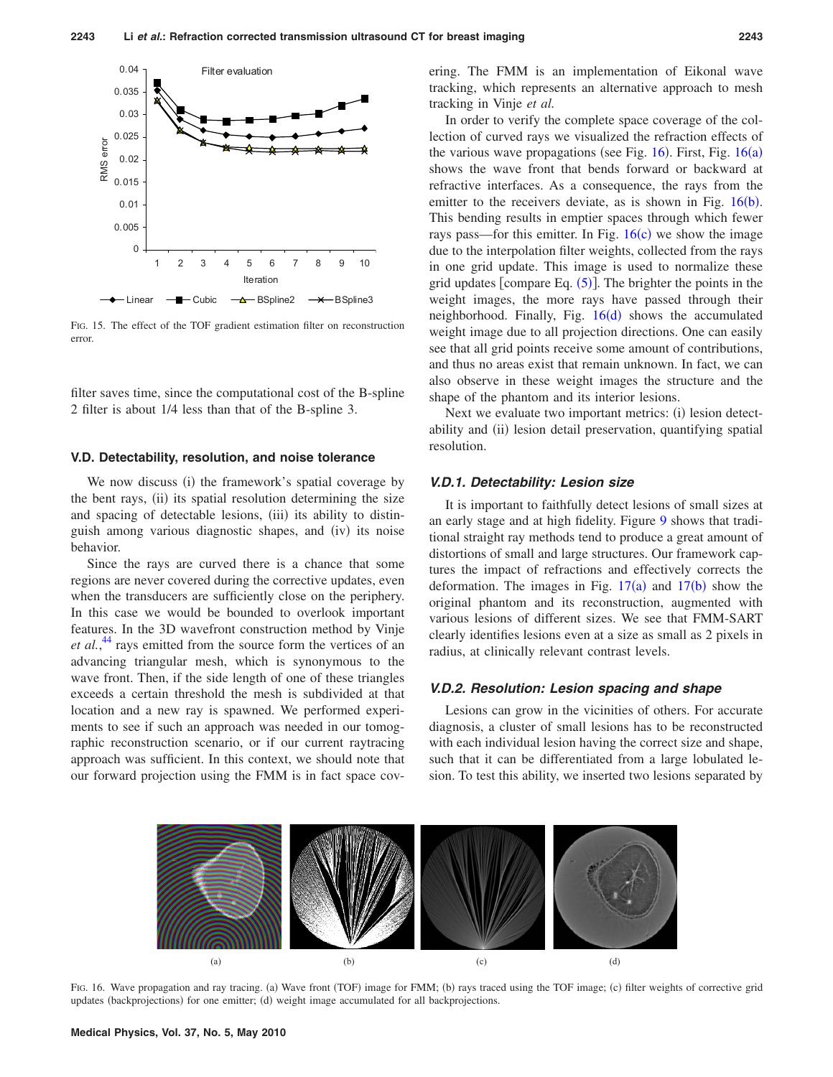<span id="page-10-0"></span>

FIG. 15. The effect of the TOF gradient estimation filter on reconstruction error.

filter saves time, since the computational cost of the B-spline 2 filter is about 1/4 less than that of the B-spline 3.

#### **V.D. Detectability, resolution, and noise tolerance**

We now discuss (i) the framework's spatial coverage by the bent rays, (ii) its spatial resolution determining the size and spacing of detectable lesions, (iii) its ability to distinguish among various diagnostic shapes, and (iv) its noise behavior.

Since the rays are curved there is a chance that some regions are never covered during the corrective updates, even when the transducers are sufficiently close on the periphery. In this case we would be bounded to overlook important features. In the 3D wavefront construction method by Vinje *et al.*, [44](#page-13-43) rays emitted from the source form the vertices of an advancing triangular mesh, which is synonymous to the wave front. Then, if the side length of one of these triangles exceeds a certain threshold the mesh is subdivided at that location and a new ray is spawned. We performed experiments to see if such an approach was needed in our tomographic reconstruction scenario, or if our current raytracing approach was sufficient. In this context, we should note that our forward projection using the FMM is in fact space covering. The FMM is an implementation of Eikonal wave tracking, which represents an alternative approach to mesh tracking in Vinje *et al.*

In order to verify the complete space coverage of the collection of curved rays we visualized the refraction effects of the various wave propagations (see Fig.  $16$ ). First, Fig.  $16(a)$ shows the wave front that bends forward or backward at refractive interfaces. As a consequence, the rays from the emitter to the receivers deviate, as is shown in Fig.  $16(b)$  $16(b)$ . This bending results in emptier spaces through which fewer rays pass—for this emitter. In Fig.  $16(c)$  $16(c)$  we show the image due to the interpolation filter weights, collected from the rays in one grid update. This image is used to normalize these grid updates [compare Eq.  $(5)$  $(5)$  $(5)$ ]. The brighter the points in the weight images, the more rays have passed through their neighborhood. Finally, Fig.  $16(d)$  $16(d)$  shows the accumulated weight image due to all projection directions. One can easily see that all grid points receive some amount of contributions, and thus no areas exist that remain unknown. In fact, we can also observe in these weight images the structure and the shape of the phantom and its interior lesions.

Next we evaluate two important metrics: (i) lesion detectability and (ii) lesion detail preservation, quantifying spatial resolution.

# *V.D.1. Detectability: Lesion size*

It is important to faithfully detect lesions of small sizes at an early stage and at high fidelity. Figure [9](#page-7-0) shows that traditional straight ray methods tend to produce a great amount of distortions of small and large structures. Our framework captures the impact of refractions and effectively corrects the deformation. The images in Fig.  $17(a)$  $17(a)$  and  $17(b)$  show the original phantom and its reconstruction, augmented with various lesions of different sizes. We see that FMM-SART clearly identifies lesions even at a size as small as 2 pixels in radius, at clinically relevant contrast levels.

# *V.D.2. Resolution: Lesion spacing and shape*

Lesions can grow in the vicinities of others. For accurate diagnosis, a cluster of small lesions has to be reconstructed with each individual lesion having the correct size and shape, such that it can be differentiated from a large lobulated lesion. To test this ability, we inserted two lesions separated by

<span id="page-10-1"></span>

FIG. 16. Wave propagation and ray tracing. (a) Wave front (TOF) image for FMM; (b) rays traced using the TOF image; (c) filter weights of corrective grid updates (backprojections) for one emitter; (d) weight image accumulated for all backprojections.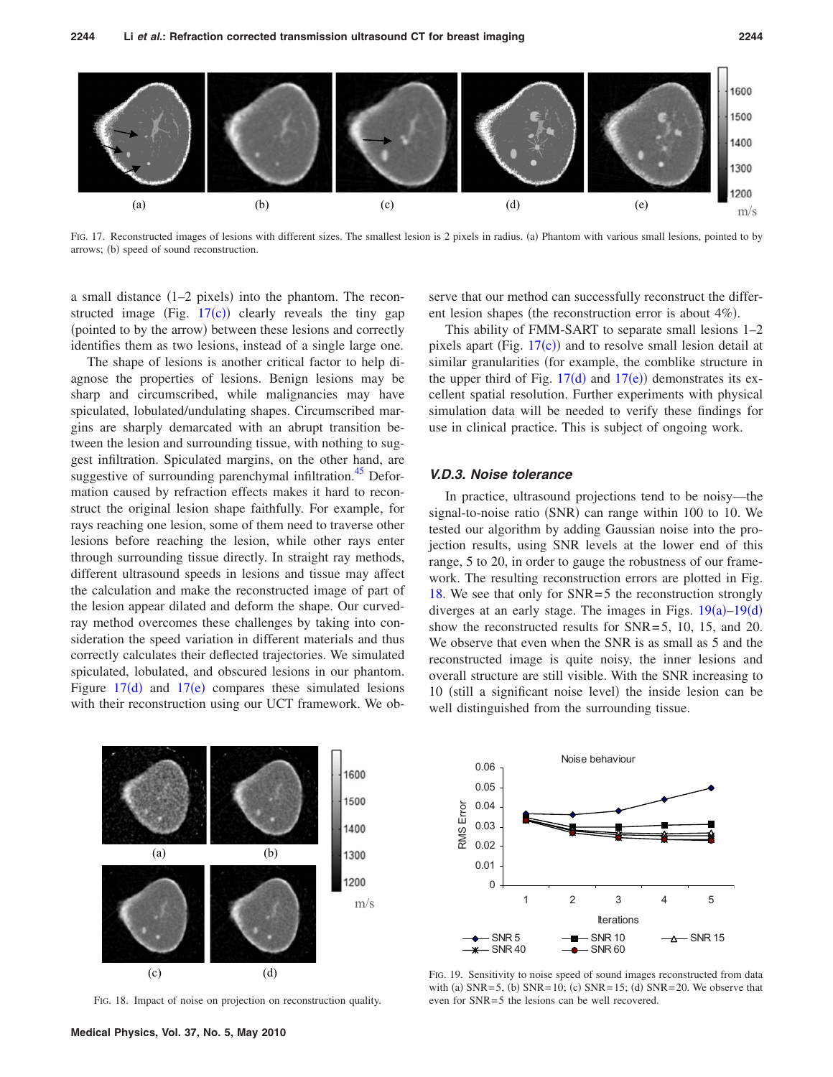<span id="page-11-0"></span>

FIG. 17. Reconstructed images of lesions with different sizes. The smallest lesion is 2 pixels in radius. (a) Phantom with various small lesions, pointed to by arrows; (b) speed of sound reconstruction.

a small distance  $(1-2$  pixels) into the phantom. The reconstructed image (Fig.  $17(c)$  $17(c)$ ) clearly reveals the tiny gap (pointed to by the arrow) between these lesions and correctly identifies them as two lesions, instead of a single large one.

The shape of lesions is another critical factor to help diagnose the properties of lesions. Benign lesions may be sharp and circumscribed, while malignancies may have spiculated, lobulated/undulating shapes. Circumscribed margins are sharply demarcated with an abrupt transition between the lesion and surrounding tissue, with nothing to suggest infiltration. Spiculated margins, on the other hand, are suggestive of surrounding parenchymal infiltration.<sup>45</sup> Deformation caused by refraction effects makes it hard to reconstruct the original lesion shape faithfully. For example, for rays reaching one lesion, some of them need to traverse other lesions before reaching the lesion, while other rays enter through surrounding tissue directly. In straight ray methods, different ultrasound speeds in lesions and tissue may affect the calculation and make the reconstructed image of part of the lesion appear dilated and deform the shape. Our curvedray method overcomes these challenges by taking into consideration the speed variation in different materials and thus correctly calculates their deflected trajectories. We simulated spiculated, lobulated, and obscured lesions in our phantom. Figure  $17(d)$  $17(d)$  and  $17(e)$  compares these simulated lesions with their reconstruction using our UCT framework. We ob-

<span id="page-11-1"></span>

FIG. 18. Impact of noise on projection on reconstruction quality.

serve that our method can successfully reconstruct the different lesion shapes (the reconstruction error is about 4%).

This ability of FMM-SART to separate small lesions 1–2 pixels apart (Fig.  $17(c)$  $17(c)$ ) and to resolve small lesion detail at similar granularities (for example, the comblike structure in the upper third of Fig.  $17(d)$  $17(d)$  and  $17(e)$ ) demonstrates its excellent spatial resolution. Further experiments with physical simulation data will be needed to verify these findings for use in clinical practice. This is subject of ongoing work.

# *V.D.3. Noise tolerance*

In practice, ultrasound projections tend to be noisy—the signal-to-noise ratio (SNR) can range within 100 to 10. We tested our algorithm by adding Gaussian noise into the projection results, using SNR levels at the lower end of this range, 5 to 20, in order to gauge the robustness of our framework. The resulting reconstruction errors are plotted in Fig. [18.](#page-11-1) We see that only for SNR=5 the reconstruction strongly diverges at an early stage. The images in Figs.  $19(a) - 19(d)$  $19(a) - 19(d)$ show the reconstructed results for  $SNR = 5$ , 10, 15, and 20. We observe that even when the SNR is as small as 5 and the reconstructed image is quite noisy, the inner lesions and overall structure are still visible. With the SNR increasing to 10 (still a significant noise level) the inside lesion can be well distinguished from the surrounding tissue.

<span id="page-11-2"></span>

FIG. 19. Sensitivity to noise speed of sound images reconstructed from data with (a)  $SNR = 5$ , (b)  $SNR = 10$ ; (c)  $SNR = 15$ ; (d)  $SNR = 20$ . We observe that even for SNR=5 the lesions can be well recovered.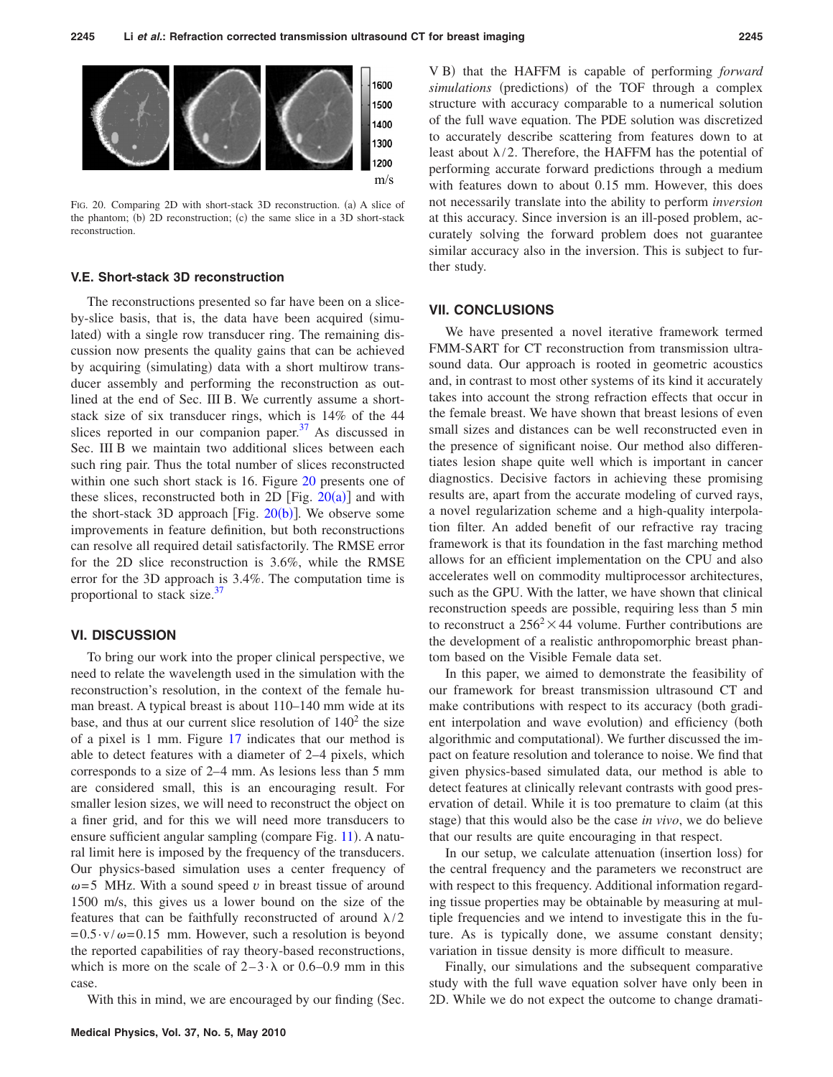<span id="page-12-0"></span>

FIG. 20. Comparing 2D with short-stack 3D reconstruction. (a) A slice of the phantom; (b) 2D reconstruction; (c) the same slice in a 3D short-stack reconstruction.

### **V.E. Short-stack 3D reconstruction**

The reconstructions presented so far have been on a sliceby-slice basis, that is, the data have been acquired (simulated) with a single row transducer ring. The remaining discussion now presents the quality gains that can be achieved by acquiring (simulating) data with a short multirow transducer assembly and performing the reconstruction as outlined at the end of Sec. III B. We currently assume a shortstack size of six transducer rings, which is 14% of the 44 slices reported in our companion paper.<sup>37</sup> As discussed in Sec. III B we maintain two additional slices between each such ring pair. Thus the total number of slices reconstructed within one such short stack is 16. Figure [20](#page-12-0) presents one of these slices, reconstructed both in 2D [Fig.  $20(a)$  $20(a)$ ] and with the short-stack 3D approach [Fig.  $20(b)$  $20(b)$ ]. We observe some improvements in feature definition, but both reconstructions can resolve all required detail satisfactorily. The RMSE error for the 2D slice reconstruction is 3.6%, while the RMSE error for the 3D approach is 3.4%. The computation time is proportional to stack size. $37$ 

# **VI. DISCUSSION**

To bring our work into the proper clinical perspective, we need to relate the wavelength used in the simulation with the reconstruction's resolution, in the context of the female human breast. A typical breast is about 110–140 mm wide at its base, and thus at our current slice resolution of  $140<sup>2</sup>$  the size of a pixel is 1 mm. Figure [17](#page-11-0) indicates that our method is able to detect features with a diameter of 2–4 pixels, which corresponds to a size of 2–4 mm. As lesions less than 5 mm are considered small, this is an encouraging result. For smaller lesion sizes, we will need to reconstruct the object on a finer grid, and for this we will need more transducers to ensure sufficient angular sampling (compare Fig. [11](#page-8-1)). A natural limit here is imposed by the frequency of the transducers. Our physics-based simulation uses a center frequency of  $\omega$ =5 MHz. With a sound speed *v* in breast tissue of around 1500 m/s, this gives us a lower bound on the size of the features that can be faithfully reconstructed of around  $\lambda/2$  $= 0.5 \cdot v / \omega = 0.15$  mm. However, such a resolution is beyond the reported capabilities of ray theory-based reconstructions, which is more on the scale of  $2-3 \cdot \lambda$  or 0.6–0.9 mm in this case.

With this in mind, we are encouraged by our finding (Sec.

V B) that the HAFFM is capable of performing *forward* simulations (predictions) of the TOF through a complex structure with accuracy comparable to a numerical solution of the full wave equation. The PDE solution was discretized to accurately describe scattering from features down to at least about  $\lambda/2$ . Therefore, the HAFFM has the potential of performing accurate forward predictions through a medium with features down to about 0.15 mm. However, this does not necessarily translate into the ability to perform *inversion* at this accuracy. Since inversion is an ill-posed problem, accurately solving the forward problem does not guarantee similar accuracy also in the inversion. This is subject to further study.

### **VII. CONCLUSIONS**

We have presented a novel iterative framework termed FMM-SART for CT reconstruction from transmission ultrasound data. Our approach is rooted in geometric acoustics and, in contrast to most other systems of its kind it accurately takes into account the strong refraction effects that occur in the female breast. We have shown that breast lesions of even small sizes and distances can be well reconstructed even in the presence of significant noise. Our method also differentiates lesion shape quite well which is important in cancer diagnostics. Decisive factors in achieving these promising results are, apart from the accurate modeling of curved rays, a novel regularization scheme and a high-quality interpolation filter. An added benefit of our refractive ray tracing framework is that its foundation in the fast marching method allows for an efficient implementation on the CPU and also accelerates well on commodity multiprocessor architectures, such as the GPU. With the latter, we have shown that clinical reconstruction speeds are possible, requiring less than 5 min to reconstruct a  $256^2 \times 44$  volume. Further contributions are the development of a realistic anthropomorphic breast phantom based on the Visible Female data set.

In this paper, we aimed to demonstrate the feasibility of our framework for breast transmission ultrasound CT and make contributions with respect to its accuracy (both gradient interpolation and wave evolution) and efficiency (both algorithmic and computational). We further discussed the impact on feature resolution and tolerance to noise. We find that given physics-based simulated data, our method is able to detect features at clinically relevant contrasts with good preservation of detail. While it is too premature to claim (at this stage) that this would also be the case *in vivo*, we do believe that our results are quite encouraging in that respect.

In our setup, we calculate attenuation (insertion loss) for the central frequency and the parameters we reconstruct are with respect to this frequency. Additional information regarding tissue properties may be obtainable by measuring at multiple frequencies and we intend to investigate this in the future. As is typically done, we assume constant density; variation in tissue density is more difficult to measure.

Finally, our simulations and the subsequent comparative study with the full wave equation solver have only been in 2D. While we do not expect the outcome to change dramati